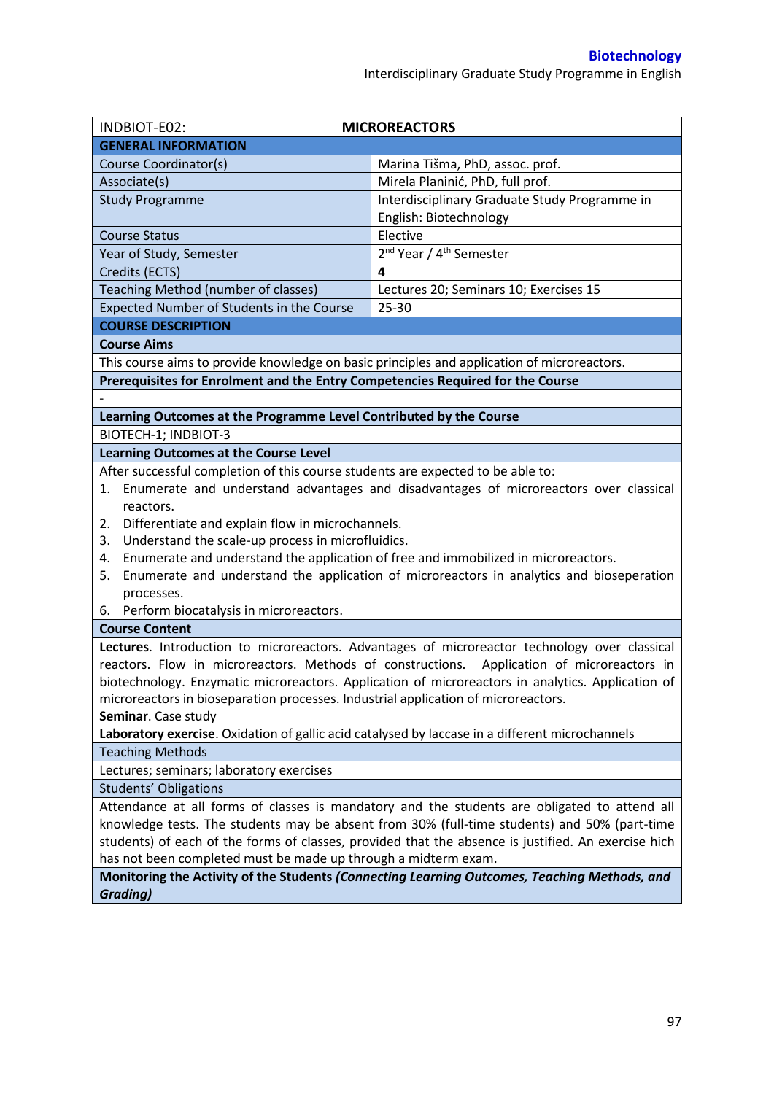| INDBIOT-E02:                                                                                                                                                                                 | <b>MICROREACTORS</b>                                                                          |  |  |  |
|----------------------------------------------------------------------------------------------------------------------------------------------------------------------------------------------|-----------------------------------------------------------------------------------------------|--|--|--|
| <b>GENERAL INFORMATION</b>                                                                                                                                                                   |                                                                                               |  |  |  |
| Course Coordinator(s)                                                                                                                                                                        | Marina Tišma, PhD, assoc. prof.                                                               |  |  |  |
| Associate(s)                                                                                                                                                                                 | Mirela Planinić, PhD, full prof.                                                              |  |  |  |
| <b>Study Programme</b>                                                                                                                                                                       | Interdisciplinary Graduate Study Programme in                                                 |  |  |  |
|                                                                                                                                                                                              | English: Biotechnology                                                                        |  |  |  |
| <b>Course Status</b>                                                                                                                                                                         | Elective                                                                                      |  |  |  |
| Year of Study, Semester                                                                                                                                                                      | 2 <sup>nd</sup> Year / 4 <sup>th</sup> Semester                                               |  |  |  |
| Credits (ECTS)                                                                                                                                                                               | 4                                                                                             |  |  |  |
| Teaching Method (number of classes)                                                                                                                                                          | Lectures 20; Seminars 10; Exercises 15                                                        |  |  |  |
| Expected Number of Students in the Course                                                                                                                                                    | 25-30                                                                                         |  |  |  |
| <b>COURSE DESCRIPTION</b>                                                                                                                                                                    |                                                                                               |  |  |  |
| <b>Course Aims</b>                                                                                                                                                                           |                                                                                               |  |  |  |
| This course aims to provide knowledge on basic principles and application of microreactors.                                                                                                  |                                                                                               |  |  |  |
| Prerequisites for Enrolment and the Entry Competencies Required for the Course                                                                                                               |                                                                                               |  |  |  |
|                                                                                                                                                                                              |                                                                                               |  |  |  |
| Learning Outcomes at the Programme Level Contributed by the Course                                                                                                                           |                                                                                               |  |  |  |
| BIOTECH-1; INDBIOT-3                                                                                                                                                                         |                                                                                               |  |  |  |
| <b>Learning Outcomes at the Course Level</b>                                                                                                                                                 |                                                                                               |  |  |  |
| After successful completion of this course students are expected to be able to:                                                                                                              |                                                                                               |  |  |  |
| 1.                                                                                                                                                                                           | Enumerate and understand advantages and disadvantages of microreactors over classical         |  |  |  |
| reactors.                                                                                                                                                                                    |                                                                                               |  |  |  |
| Differentiate and explain flow in microchannels.<br>2.                                                                                                                                       |                                                                                               |  |  |  |
| Understand the scale-up process in microfluidics.<br>3.                                                                                                                                      |                                                                                               |  |  |  |
| Enumerate and understand the application of free and immobilized in microreactors.<br>4.                                                                                                     |                                                                                               |  |  |  |
| Enumerate and understand the application of microreactors in analytics and bioseperation<br>5.                                                                                               |                                                                                               |  |  |  |
| processes.                                                                                                                                                                                   |                                                                                               |  |  |  |
| 6. Perform biocatalysis in microreactors.                                                                                                                                                    |                                                                                               |  |  |  |
| <b>Course Content</b>                                                                                                                                                                        |                                                                                               |  |  |  |
|                                                                                                                                                                                              | Lectures. Introduction to microreactors. Advantages of microreactor technology over classical |  |  |  |
| reactors. Flow in microreactors. Methods of constructions. Application of microreactors in                                                                                                   |                                                                                               |  |  |  |
| biotechnology. Enzymatic microreactors. Application of microreactors in analytics. Application of                                                                                            |                                                                                               |  |  |  |
| microreactors in bioseparation processes. Industrial application of microreactors.                                                                                                           |                                                                                               |  |  |  |
| Seminar. Case study                                                                                                                                                                          |                                                                                               |  |  |  |
| Laboratory exercise. Oxidation of gallic acid catalysed by laccase in a different microchannels                                                                                              |                                                                                               |  |  |  |
| <b>Teaching Methods</b>                                                                                                                                                                      |                                                                                               |  |  |  |
| Lectures; seminars; laboratory exercises                                                                                                                                                     |                                                                                               |  |  |  |
| <b>Students' Obligations</b>                                                                                                                                                                 |                                                                                               |  |  |  |
| Attendance at all forms of classes is mandatory and the students are obligated to attend all<br>knowledge tests. The students may be absent from 30% (full-time students) and 50% (part-time |                                                                                               |  |  |  |
| students) of each of the forms of classes, provided that the absence is justified. An exercise hich                                                                                          |                                                                                               |  |  |  |
| has not been completed must be made up through a midterm exam.                                                                                                                               |                                                                                               |  |  |  |
| Monitoring the Activity of the Students (Connecting Learning Outcomes, Teaching Methods, and                                                                                                 |                                                                                               |  |  |  |
| <b>Grading)</b>                                                                                                                                                                              |                                                                                               |  |  |  |